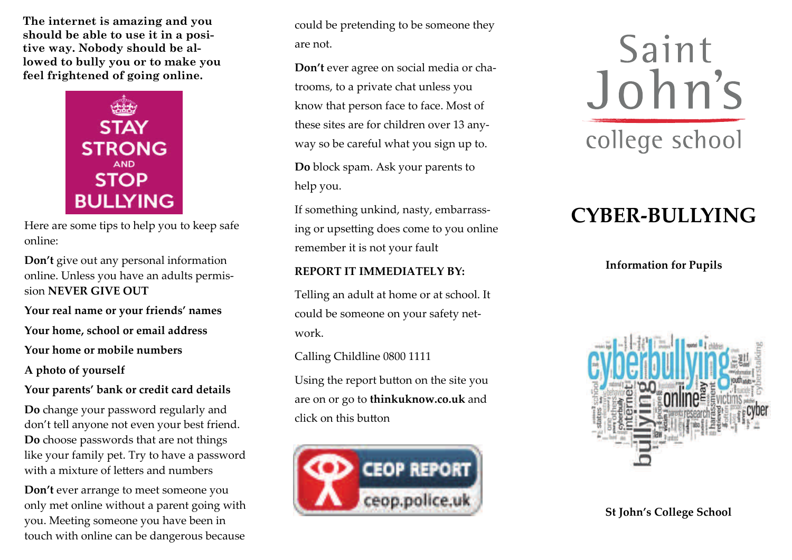**The internet is amazing and you should be able to use it in a positive way. Nobody should be allowed to bully you or to make you feel frightened of going online.** 



Here are some tips to help you to keep safe online:

**Don't** give out any personal information online. Unless you have an adults permis‐ sion **NEVER GIVE OUT**

**Your real name or your friends' names**

**Your home, school or email address**

**Your home or mobile numbers**

**A photo of yourself**

**Your parents' bank or credit card details**

**Do** change your password regularly and don't tell anyone not even your best friend. **Do** choose passwords that are not things like your family pet. Try to have <sup>a</sup> password with <sup>a</sup> mixture of letters and numbers

**Don't** ever arrange to meet someone you only met online without <sup>a</sup> paren<sup>t</sup> going with you. Meeting someone you have been in touch with online can be dangerous because

could be pretending to be someone they are not.

**Don't** ever agree on social media or cha‐ trooms, to <sup>a</sup> private chat unless you know that person face to face. Most of these sites are for children over 13 any‐ way so be careful what you sign up to.

**Do** block spam. Ask your parents to help you.

If something unkind, nasty, embarrass‐ ing or upsetting does come to you online remember it is not your fault

#### **REPORT IT IMMEDIATELY BY:**

Telling an adult at home or at school. It could be someone on your safety net‐ work.

Calling Childline 0800 <sup>1111</sup>

Using the repor<sup>t</sup> button on the site you are on or go to **thinkuknow.co.uk** and click on this button



Saint John's college school

# **CYBER‐BULLYING**

**Information for Pupils**



**St John's College School**